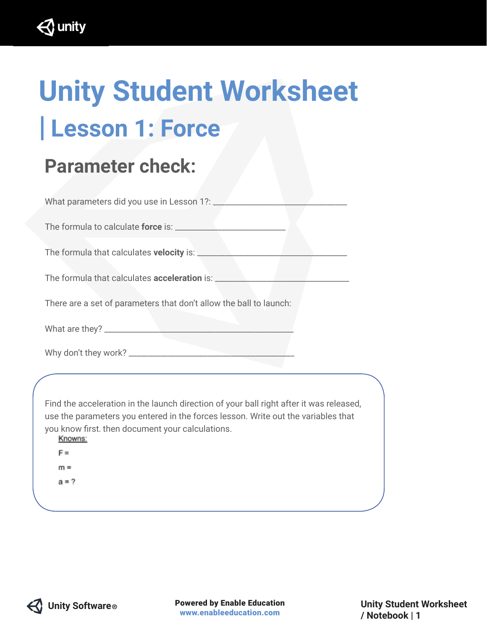$\triangle$  unity

## **Unity Student Worksheet | Lesson 1: Force**

## **Parameter check:**

| There are a set of parameters that don't allow the ball to launch:                                                                                                                                                                                                    |
|-----------------------------------------------------------------------------------------------------------------------------------------------------------------------------------------------------------------------------------------------------------------------|
|                                                                                                                                                                                                                                                                       |
|                                                                                                                                                                                                                                                                       |
|                                                                                                                                                                                                                                                                       |
| Find the acceleration in the launch direction of your ball right after it was released,<br>use the parameters you entered in the forces lesson. Write out the variables that<br>you know first. then document your calculations.<br>Knowns:<br>F=<br>$m =$<br>$a = ?$ |
|                                                                                                                                                                                                                                                                       |

 **Unity Software ®** Powered by Enable Education www.enableeducation.com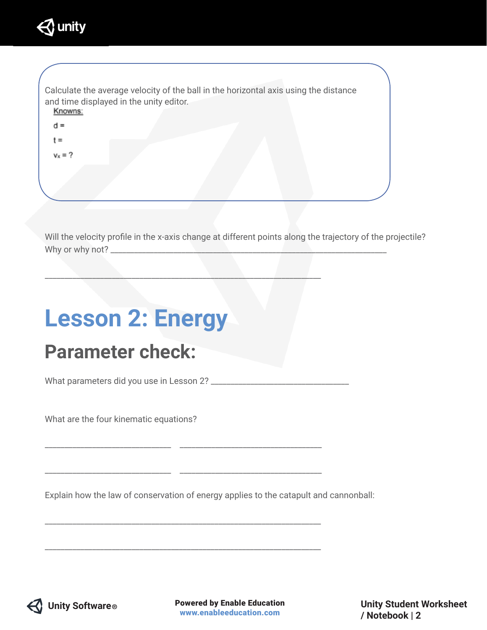

| Calculate the average velocity of the ball in the horizontal axis using the distance<br>and time displayed in the unity editor.<br>Knowns: |  |
|--------------------------------------------------------------------------------------------------------------------------------------------|--|
| $d =$                                                                                                                                      |  |
| t =                                                                                                                                        |  |
| $v_x = ?$                                                                                                                                  |  |
|                                                                                                                                            |  |
|                                                                                                                                            |  |
|                                                                                                                                            |  |

Will the velocity profile in the x-axis change at different points along the trajectory of the projectile? Why or why not? \_\_\_\_\_\_\_\_\_\_\_\_\_\_\_\_\_\_\_\_\_\_\_\_\_\_\_\_\_\_\_\_\_\_\_\_\_\_\_\_\_\_\_\_\_\_\_\_\_\_\_\_\_\_\_\_\_\_\_\_\_\_\_\_\_\_\_\_\_\_

## **Lesson 2: Energy Parameter check:**

What parameters did you use in Lesson 2? \_\_\_\_\_\_\_\_\_\_\_\_\_\_\_\_\_\_\_\_\_\_\_\_\_\_\_\_\_\_\_\_\_\_\_

\_\_\_\_\_\_\_\_\_\_\_\_\_\_\_\_\_\_\_\_\_\_\_\_\_\_\_\_\_\_\_\_ \_\_\_\_\_\_\_\_\_\_\_\_\_\_\_\_\_\_\_\_\_\_\_\_\_\_\_\_\_\_\_\_\_\_\_\_

\_\_\_\_\_\_\_\_\_\_\_\_\_\_\_\_\_\_\_\_\_\_\_\_\_\_\_\_\_\_\_\_ \_\_\_\_\_\_\_\_\_\_\_\_\_\_\_\_\_\_\_\_\_\_\_\_\_\_\_\_\_\_\_\_\_\_\_\_

\_\_\_\_\_\_\_\_\_\_\_\_\_\_\_\_\_\_\_\_\_\_\_\_\_\_\_\_\_\_\_\_\_\_\_\_\_\_\_\_\_\_\_\_\_\_\_\_\_\_\_\_\_\_\_\_\_\_\_\_\_\_\_\_\_\_\_\_\_\_

\_\_\_\_\_\_\_\_\_\_\_\_\_\_\_\_\_\_\_\_\_\_\_\_\_\_\_\_\_\_\_\_\_\_\_\_\_\_\_\_\_\_\_\_\_\_\_\_\_\_\_\_\_\_\_\_\_\_\_\_\_\_\_\_\_\_\_\_\_\_

 $\Box$  , and the contribution of the contribution of the contribution of the contribution of the contribution of the contribution of the contribution of the contribution of the contribution of the contribution of the contri

What are the four kinematic equations?

Explain how the law of conservation of energy applies to the catapult and cannonball:



**Unity Software <br><b>B** Powered by Enable Education www.enableeducation.com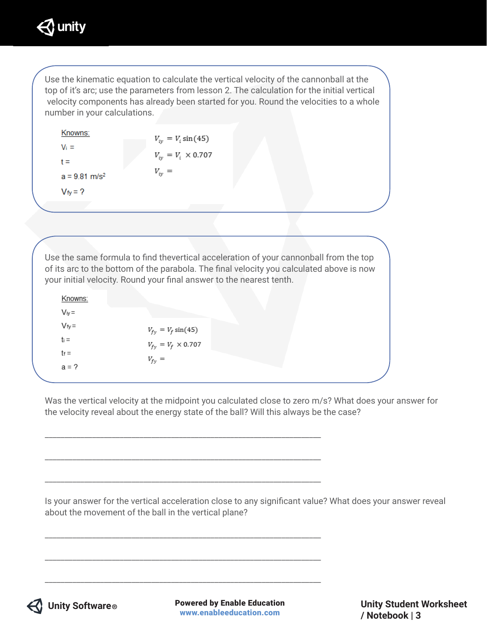

Use the kinematic equation to calculate the vertical velocity of the cannonball at the top of it's arc; use the parameters from lesson 2. The calculation for the initial vertical velocity components has already been started for you. Round the velocities to a whole number in your calculations.

| Knowns:                     | $V_{iv} = V_i \sin(45)$     |
|-----------------------------|-----------------------------|
| $V_i =$                     |                             |
| t =                         | $V_{iv} = V_i \times 0.707$ |
| $a = 9.81$ m/s <sup>2</sup> | $V_{iv} =$                  |
| $V_{\text{fv}} = ?$         |                             |

Use the same formula to find thevertical acceleration of your cannonball from the top of its arc to the bottom of the parabola. The final velocity you calculated above is now your initial velocity. Round your final answer to the nearest tenth.

\_\_\_\_\_\_\_\_\_\_\_\_\_\_\_\_\_\_\_\_\_\_\_\_\_\_\_\_\_\_\_\_\_\_\_\_\_\_\_\_\_\_\_\_\_\_\_\_\_\_\_\_\_\_\_\_\_\_\_\_\_\_\_\_\_\_\_\_\_\_

\_\_\_\_\_\_\_\_\_\_\_\_\_\_\_\_\_\_\_\_\_\_\_\_\_\_\_\_\_\_\_\_\_\_\_\_\_\_\_\_\_\_\_\_\_\_\_\_\_\_\_\_\_\_\_\_\_\_\_\_\_\_\_\_\_\_\_\_\_\_

\_\_\_\_\_\_\_\_\_\_\_\_\_\_\_\_\_\_\_\_\_\_\_\_\_\_\_\_\_\_\_\_\_\_\_\_\_\_\_\_\_\_\_\_\_\_\_\_\_\_\_\_\_\_\_\_\_\_\_\_\_\_\_\_\_\_\_\_\_\_

\_\_\_\_\_\_\_\_\_\_\_\_\_\_\_\_\_\_\_\_\_\_\_\_\_\_\_\_\_\_\_\_\_\_\_\_\_\_\_\_\_\_\_\_\_\_\_\_\_\_\_\_\_\_\_\_\_\_\_\_\_\_\_\_\_\_\_\_\_\_

\_\_\_\_\_\_\_\_\_\_\_\_\_\_\_\_\_\_\_\_\_\_\_\_\_\_\_\_\_\_\_\_\_\_\_\_\_\_\_\_\_\_\_\_\_\_\_\_\_\_\_\_\_\_\_\_\_\_\_\_\_\_\_\_\_\_\_\_\_\_

\_\_\_\_\_\_\_\_\_\_\_\_\_\_\_\_\_\_\_\_\_\_\_\_\_\_\_\_\_\_\_\_\_\_\_\_\_\_\_\_\_\_\_\_\_\_\_\_\_\_\_\_\_\_\_\_\_\_\_\_\_\_\_\_\_\_\_\_\_\_

Knowns:  $V_{iv} =$  $V_{6}$  –

| $V = V -$ | $V_{fy} = V_f \sin(45)$     |
|-----------|-----------------------------|
| $t_i =$   | $V_{fy} = V_f \times 0.707$ |
| $t_f =$   | $V_{f_v} =$                 |
| $a = ?$   |                             |

Was the vertical velocity at the midpoint you calculated close to zero m/s? What does your answer for the velocity reveal about the energy state of the ball? Will this always be the case?

Is your answer for the vertical acceleration close to any significant value? What does your answer reveal about the movement of the ball in the vertical plane?



 **Unity Software ®** Powered by Enable Education www.enableeducation.com